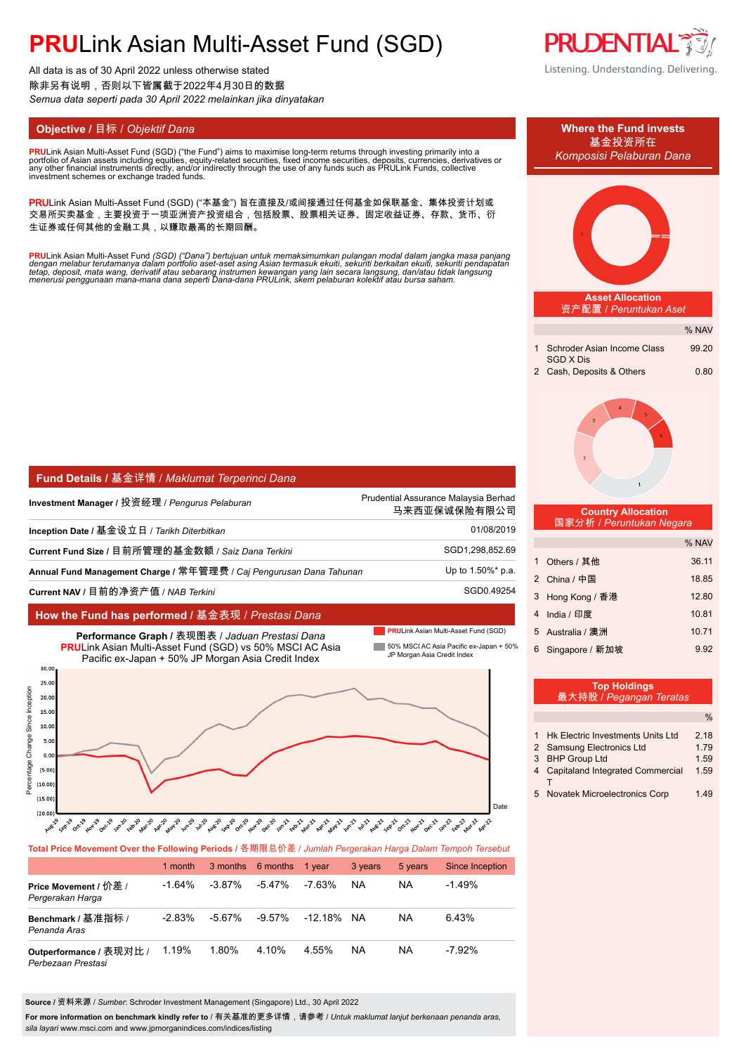All data is as of 30 April 2022 unless otherwise stated 除非另有说明,否则以下皆属截于2022年4月30日的数据 *Semua data seperti pada 30 April 2022 melainkan jika dinyatakan*

**PRU**Link Asian Multi-Asset Fund (SGD) ("the Fund") aims to maximise long-term returns through investing primarily into a<br>portfolio of Asian assets including equities, equity-related securities, fixed income securities, de portfolio of Asian assets including equities, equity-related securities, fixed income securities, deposits, currencies, derivatives or<br>any other financial instruments directly, and/or indirectly through the use of any fund

PRULink Asian Multi-Asset Fund (SGD) ("本基金") 旨在直接及/或间接通过任何基金如保联基金、集体投资计划或 交易所买卖基金,主要投资于一项亚洲资产投资组合,包括股票、股票相关证券、固定收益证券、存款、货币、衍 生证券或任何其他的金融工具,以赚取最高的长期回酬。

<mark>PRU</mark>Link Asian Multi-Asset Fund (SGD) ("Dana") bertujuan untuk memaksimumkan pulangan modal dalam jangka masa panjang<br>dengan melabur terutamanya dalam portfolio aset-aset asing Asian termasuk ekuiti, sekuriti berkaitan ek

| <b>Fund Details / 基金详情 / Maklumat Terperinci Dana</b>               |                                                      |  |  |
|---------------------------------------------------------------------|------------------------------------------------------|--|--|
| Investment Manager / 投资经理 / <i>Penqurus Pelaburan</i>               | Prudential Assurance Malaysia Berhad<br>马来西亚保诚保险有限公司 |  |  |
| Inception Date / 基金设立日 / Tarikh Diterbitkan                         | 01/08/2019                                           |  |  |
| Current Fund Size / 目前所管理的基金数额 / Saiz Dana Terkini                  | SGD1,298,852.69                                      |  |  |
| Annual Fund Management Charge / 常年管理费 / Cai Pengurusan Dana Tahunan | Up to 1.50%* p.a.                                    |  |  |
| Current NAV / 目前的净资产值 / NAB <i>Terkini</i>                          | SGD0.49254                                           |  |  |

#### **How the Fund has performed /** 基金表现 / *Prestasi Dana*

 $(15.0)$  $(20.00)$  **PRULink Asian Multi-Asset Fund (SGD)** 

Date



# .<br>" and on and only all and with and and with and and only and only all and and and and with and only all and and and and

**Total Price Movement Over the Following Periods /** 各期限总价差 / *Jumlah Pergerakan Harga Dalam Tempoh Tersebut*

|                                               | 1 month   |           | 3 months 6 months | 1 vear  | 3 years   | 5 years | Since Inception |
|-----------------------------------------------|-----------|-----------|-------------------|---------|-----------|---------|-----------------|
| Price Movement / 价差 /<br>Pergerakan Harga     | $-1.64\%$ | $-3.87\%$ | -5.47%            | -7.63%  | <b>NA</b> | NA      | $-1.49%$        |
| Benchmark / 基准指标 /<br>Penanda Aras            | $-2.83%$  | $-5.67\%$ | -9.57%            | -12.18% | NA.       | NA      | 6.43%           |
| Outperformance / 表现对比 /<br>Perbezaan Prestasi | 1.19%     | 1.80%     | 4.10%             | 4.55%   | NA        | ΝA      | $-7.92\%$       |

**Source /** 资料来源 / *Sumber*: Schroder Investment Management (Singapore) Ltd., 30 April 2022

**For more information on benchmark kindly refer to** / 有关基准的更多详情,请参考 / *Untuk maklumat lanjut berkenaan penanda aras, sila layari* www.msci.com and www.jpmorganindices.com/indices/listing

**PRUDENTIAL** Listening. Understanding. Delivering.



| Top Holdings<br>最大持股 / Pegangan Teratas |                                         |               |  |  |  |  |
|-----------------------------------------|-----------------------------------------|---------------|--|--|--|--|
|                                         |                                         | $\frac{0}{0}$ |  |  |  |  |
|                                         | 1 Hk Electric Investments Units Ltd     | 2.18          |  |  |  |  |
|                                         | 2 Samsung Electronics Ltd               | 1.79          |  |  |  |  |
|                                         | 3 BHP Group Ltd                         | 1.59          |  |  |  |  |
| 4                                       | <b>Capitaland Integrated Commercial</b> | 1.59          |  |  |  |  |
| 5                                       | <b>Novatek Microelectronics Corp</b>    | 1.49          |  |  |  |  |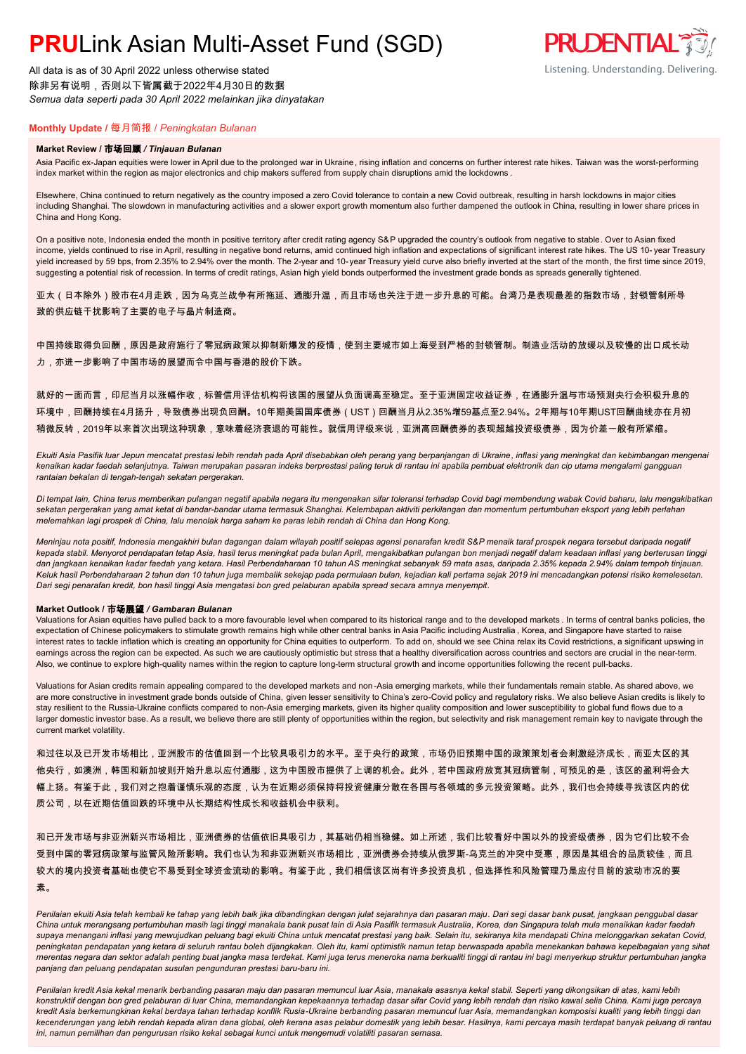All data is as of 30 April 2022 unless otherwise stated 除非另有说明,否则以下皆属截于2022年4月30日的数据 *Semua data seperti pada 30 April 2022 melainkan jika dinyatakan*

### **Monthly Update /** 每月简报 / *Peningkatan Bulanan*

#### **Market Review /** 市场回顾 */ Tinjauan Bulanan*

Asia Pacific ex-Japan equities were lower in April due to the prolonged war in Ukraine, rising inflation and concerns on further interest rate hikes. Taiwan was the worst-performing index market within the region as major electronics and chip makers suffered from supply chain disruptions amid the lockdowns .

Elsewhere, China continued to return negatively as the country imposed a zero Covid tolerance to contain a new Covid outbreak, resulting in harsh lockdowns in major cities including Shanghai. The slowdown in manufacturing activities and a slower export growth momentum also further dampened the outlook in China, resulting in lower share prices in China and Hong Kong.

On a positive note, Indonesia ended the month in positive territory after credit rating agency S&P upgraded the country's outlook from negative to stable. Over to Asian fixed income, yields continued to rise in April, resulting in negative bond returns, amid continued high inflation and expectations of significant interest rate hikes. The US 10- year Treasury yield increased by 59 bps, from 2.35% to 2.94% over the month. The 2-year and 10-year Treasury yield curve also briefly inverted at the start of the month, the first time since 2019, suggesting a potential risk of recession. In terms of credit ratings, Asian high yield bonds outperformed the investment grade bonds as spreads generally tightened.

亚太(日本除外)股市在4月走跌,因为乌克兰战争有所拖延、通膨升温,而且市场也关注于进一步升息的可能。台湾乃是表现最差的指数市场,封锁管制所导 致的供应链干扰影响了主要的电子与晶片制造商。

中国持续取得负回酬,原因是政府施行了零冠病政策以抑制新爆发的疫情,使到主要城市如上海受到严格的封锁管制。制造业活动的放缓以及较慢的出口成长动 力,亦进一步影响了中国市场的展望而令中国与香港的股价下跌。

就好的一面而言,印尼当月以涨幅作收,标普信用评估机构将该国的展望从负面调高至稳定。至于亚洲固定收益证券,在通膨升温与市场预测央行会积极升息的 环境中,回酬持续在4月扬升,导致债券出现负回酬。10年期美国国库债券(UST)回酬当月从2.35%增59基点至2.94%。2年期与10年期UST回酬曲线亦在月初 稍微反转,2019年以来首次出现这种现象,意味着经济衰退的可能性。就信用评级来说,亚洲高回酬债券的表现超越投资级债券,因为价差一般有所紧缩。

*Ekuiti Asia Pasifik luar Jepun mencatat prestasi lebih rendah pada April disebabkan oleh perang yang berpanjangan di Ukraine, inflasi yang meningkat dan kebimbangan mengenai kenaikan kadar faedah selanjutnya. Taiwan merupakan pasaran indeks berprestasi paling teruk di rantau ini apabila pembuat elektronik dan cip utama mengalami gangguan rantaian bekalan di tengah-tengah sekatan pergerakan.*

*Di tempat lain, China terus memberikan pulangan negatif apabila negara itu mengenakan sifar toleransi terhadap Covid bagi membendung wabak Covid baharu, lalu mengakibatkan sekatan pergerakan yang amat ketat di bandar-bandar utama termasuk Shanghai. Kelembapan aktiviti perkilangan dan momentum pertumbuhan eksport yang lebih perlahan melemahkan lagi prospek di China, lalu menolak harga saham ke paras lebih rendah di China dan Hong Kong.*

*Meninjau nota positif, Indonesia mengakhiri bulan dagangan dalam wilayah positif selepas agensi penarafan kredit S&P menaik taraf prospek negara tersebut daripada negatif kepada stabil. Menyorot pendapatan tetap Asia, hasil terus meningkat pada bulan April, mengakibatkan pulangan bon menjadi negatif dalam keadaan inflasi yang berterusan tinggi dan jangkaan kenaikan kadar faedah yang ketara. Hasil Perbendaharaan 10 tahun AS meningkat sebanyak 59 mata asas, daripada 2.35% kepada 2.94% dalam tempoh tinjauan. Keluk hasil Perbendaharaan 2 tahun dan 10 tahun juga membalik sekejap pada permulaan bulan, kejadian kali pertama sejak 2019 ini mencadangkan potensi risiko kemelesetan. Dari segi penarafan kredit, bon hasil tinggi Asia mengatasi bon gred pelaburan apabila spread secara amnya menyempit.*

#### **Market Outlook /** 市场展望 */ Gambaran Bulanan*

Valuations for Asian equities have pulled back to a more favourable level when compared to its historical range and to the developed markets . In terms of central banks policies, the expectation of Chinese policymakers to stimulate growth remains high while other central banks in Asia Pacific including Australia , Korea, and Singapore have started to raise interest rates to tackle inflation which is creating an opportunity for China equities to outperform. To add on, should we see China relax its Covid restrictions, a significant upswing in earnings across the region can be expected. As such we are cautiously optimistic but stress that a healthy diversification across countries and sectors are crucial in the near-term. Also, we continue to explore high-quality names within the region to capture long-term structural growth and income opportunities following the recent pull-backs.

Valuations for Asian credits remain appealing compared to the developed markets and non -Asia emerging markets, while their fundamentals remain stable. As shared above, we are more constructive in investment grade bonds outside of China, given lesser sensitivity to China's zero-Covid policy and regulatory risks. We also believe Asian credits is likely to stay resilient to the Russia-Ukraine conflicts compared to non-Asia emerging markets, given its higher quality composition and lower susceptibility to global fund flows due to a larger domestic investor base. As a result, we believe there are still plenty of opportunities within the region, but selectivity and risk management remain key to navigate through the current market volatility.

和过往以及已开发市场相比,亚洲股市的估值回到一个比较具吸引力的水平。至于央行的政策,市场仍旧预期中国的政策策划者会刺激经济成长,而亚太区的其 他央行,如澳洲,韩国和新加坡则开始升息以应付通膨,这为中国股市提供了上调的机会。此外,若中国政府放宽其冠病管制,可预见的是,该区的盈利将会大 幅上扬。有鉴于此,我们对之抱着谨慎乐观的态度,认为在近期必须保持将投资健康分散在各国与各领域的多元投资策略。此外,我们也会持续寻找该区内的优 质公司,以在近期估值回跌的环境中从长期结构性成长和收益机会中获利。

和已开发市场与非亚洲新兴市场相比,亚洲债券的估值依旧具吸引力,其基础仍相当稳健。如上所述,我们比较看好中国以外的投资级债券,因为它们比较不会 受到中国的零冠病政策与监管风险所影响。我们也认为和非亚洲新兴市场相比,亚洲债券会持续从俄罗斯-乌克兰的冲突中受惠,原因是其组合的品质较佳,而且 较大的境内投资者基础也使它不易受到全球资金流动的影响。有鉴于此,我们相信该区尚有许多投资良机,但选择性和风险管理乃是应付目前的波动市况的要 素。

Penilaian ekuiti Asia telah kembali ke tahap yang lebih baik jika dibandingkan dengan julat sejarahnya dan pasaran maju. Dari segi dasar bank pusat, jangkaan penggubal dasar *China untuk merangsang pertumbuhan masih lagi tinggi manakala bank pusat lain di Asia Pasifik termasuk Australia, Korea, dan Singapura telah mula menaikkan kadar faedah supaya menangani inflasi yang mewujudkan peluang bagi ekuiti China untuk mencatat prestasi yang baik. Selain itu, sekiranya kita mendapati China melonggarkan sekatan Covid, peningkatan pendapatan yang ketara di seluruh rantau boleh dijangkakan. Oleh itu, kami optimistik namun tetap berwaspada apabila menekankan bahawa kepelbagaian yang sihat merentas negara dan sektor adalah penting buat jangka masa terdekat. Kami juga terus meneroka nama berkualiti tinggi di rantau ini bagi menyerkup struktur pertumbuhan jangka panjang dan peluang pendapatan susulan pengunduran prestasi baru-baru ini.*

*Penilaian kredit Asia kekal menarik berbanding pasaran maju dan pasaran memuncul luar Asia, manakala asasnya kekal stabil. Seperti yang dikongsikan di atas, kami lebih konstruktif dengan bon gred pelaburan di luar China, memandangkan kepekaannya terhadap dasar sifar Covid yang lebih rendah dan risiko kawal selia China. Kami juga percaya kredit Asia berkemungkinan kekal berdaya tahan terhadap konflik Rusia-Ukraine berbanding pasaran memuncul luar Asia, memandangkan komposisi kualiti yang lebih tinggi dan kecenderungan yang lebih rendah kepada aliran dana global, oleh kerana asas pelabur domestik yang lebih besar. Hasilnya, kami percaya masih terdapat banyak peluang di rantau ini, namun pemilihan dan pengurusan risiko kekal sebagai kunci untuk mengemudi volatiliti pasaran semasa.*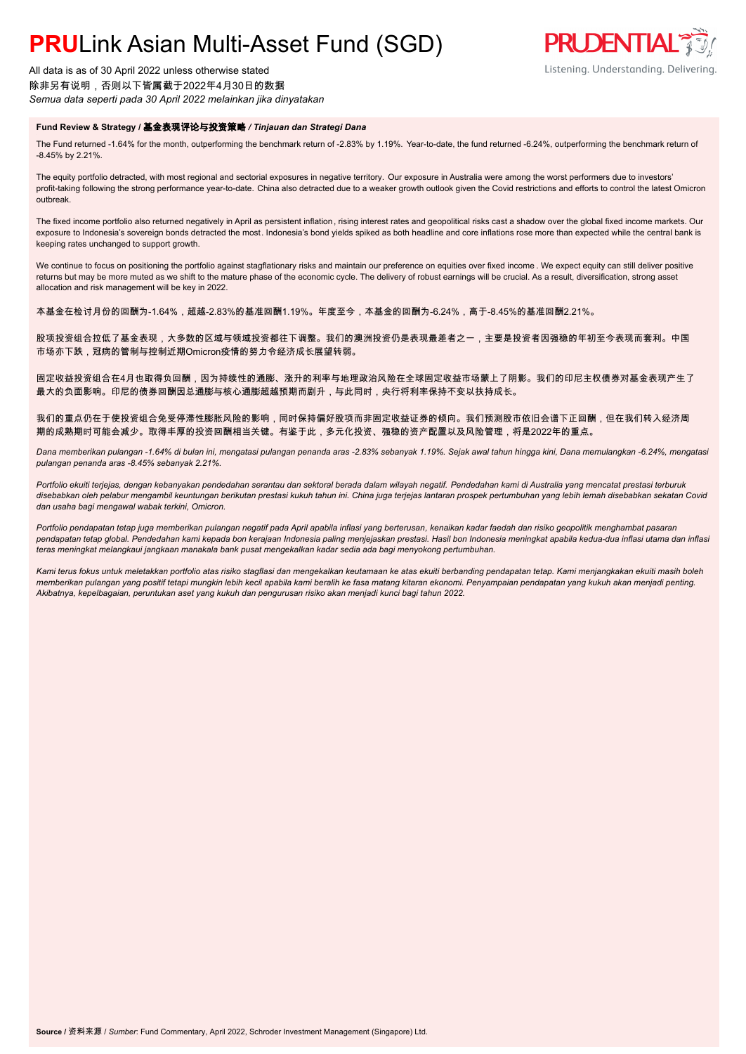All data is as of 30 April 2022 unless otherwise stated 除非另有说明,否则以下皆属截于2022年4月30日的数据 *Semua data seperti pada 30 April 2022 melainkan jika dinyatakan*

#### **Fund Review & Strategy /** 基金表现评论与投资策略 */ Tinjauan dan Strategi Dana*

The Fund returned -1.64% for the month, outperforming the benchmark return of -2.83% by 1.19%. Year-to-date, the fund returned -6.24%, outperforming the benchmark return of -8.45% by 2.21%.

The equity portfolio detracted, with most regional and sectorial exposures in negative territory. Our exposure in Australia were among the worst performers due to investors' profit-taking following the strong performance year-to-date. China also detracted due to a weaker growth outlook given the Covid restrictions and efforts to control the latest Omicron outbreak.

The fixed income portfolio also returned negatively in April as persistent inflation, rising interest rates and geopolitical risks cast a shadow over the global fixed income markets. Our exposure to Indonesia's sovereign bonds detracted the most. Indonesia's bond yields spiked as both headline and core inflations rose more than expected while the central bank is keeping rates unchanged to support growth.

We continue to focus on positioning the portfolio against stagflationary risks and maintain our preference on equities over fixed income . We expect equity can still deliver positive returns but may be more muted as we shift to the mature phase of the economic cycle. The delivery of robust earnings will be crucial. As a result, diversification, strong asset allocation and risk management will be key in 2022.

本基金在检讨月份的回酬为-1.64%,超越-2.83%的基准回酬1.19%。年度至今,本基金的回酬为-6.24%,高于-8.45%的基准回酬2.21%。

股项投资组合拉低了基金表现,大多数的区域与领域投资都往下调整。我们的澳洲投资仍是表现最差者之一,主要是投资者因强稳的年初至今表现而套利。中国 市场亦下跌,冠病的管制与控制近期Omicron疫情的努力令经济成长展望转弱。

固定收益投资组合在4月也取得负回酬,因为持续性的通膨、涨升的利率与地理政治风险在全球固定收益市场蒙上了阴影。我们的印尼主权债券对基金表现产生了 最大的负面影响。印尼的债券回酬因总通膨与核心通膨超越预期而剧升,与此同时,央行将利率保持不变以扶持成长。

我们的重点仍在于使投资组合免受停滞性膨胀风险的影响,同时保持偏好股项而非固定收益证券的倾向。我们预测股市依旧会谱下正回酬,但在我们转入经济周 期的成熟期时可能会减少。取得丰厚的投资回酬相当关键。有鉴于此,多元化投资、强稳的资产配置以及风险管理,将是2022年的重点。

*Dana memberikan pulangan -1.64% di bulan ini, mengatasi pulangan penanda aras -2.83% sebanyak 1.19%. Sejak awal tahun hingga kini, Dana memulangkan -6.24%, mengatasi pulangan penanda aras -8.45% sebanyak 2.21%.*

*Portfolio ekuiti terjejas, dengan kebanyakan pendedahan serantau dan sektoral berada dalam wilayah negatif. Pendedahan kami di Australia yang mencatat prestasi terburuk disebabkan oleh pelabur mengambil keuntungan berikutan prestasi kukuh tahun ini. China juga terjejas lantaran prospek pertumbuhan yang lebih lemah disebabkan sekatan Covid dan usaha bagi mengawal wabak terkini, Omicron.*

*Portfolio pendapatan tetap juga memberikan pulangan negatif pada April apabila inflasi yang berterusan, kenaikan kadar faedah dan risiko geopolitik menghambat pasaran pendapatan tetap global. Pendedahan kami kepada bon kerajaan Indonesia paling menjejaskan prestasi. Hasil bon Indonesia meningkat apabila kedua-dua inflasi utama dan inflasi teras meningkat melangkaui jangkaan manakala bank pusat mengekalkan kadar sedia ada bagi menyokong pertumbuhan.*

*Kami terus fokus untuk meletakkan portfolio atas risiko stagflasi dan mengekalkan keutamaan ke atas ekuiti berbanding pendapatan tetap. Kami menjangkakan ekuiti masih boleh memberikan pulangan yang positif tetapi mungkin lebih kecil apabila kami beralih ke fasa matang kitaran ekonomi. Penyampaian pendapatan yang kukuh akan menjadi penting. Akibatnya, kepelbagaian, peruntukan aset yang kukuh dan pengurusan risiko akan menjadi kunci bagi tahun 2022.*